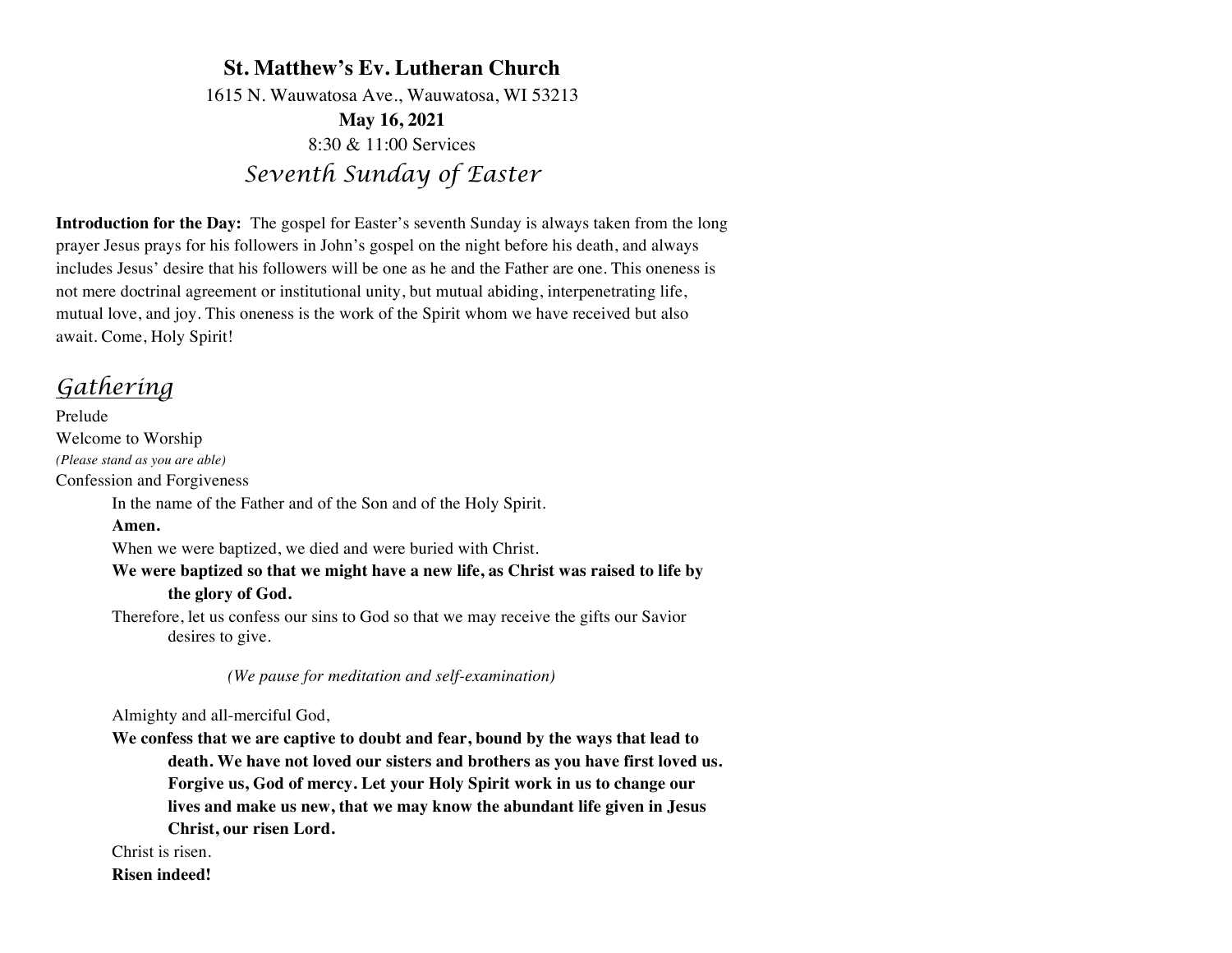# **St. Matthew's Ev. Lutheran Church** 1615 N. Wauwatosa Ave., Wauwatosa, WI 53213 **May 16, 2021** 8:30 & 11:00 Services *Seventh Sunday of Easter*

**Introduction for the Day:** The gospel for Easter's seventh Sunday is always taken from the long prayer Jesus prays for his followers in John's gospel on the night before his death, and always includes Jesus' desire that his followers will be one as he and the Father are one. This oneness is not mere doctrinal agreement or institutional unity, but mutual abiding, interpenetrating life, mutual love, and joy. This oneness is the work of the Spirit whom we have received but also await. Come, Holy Spirit!

# *Gathering*

Prelude Welcome to Worship *(Please stand as you are able)* Confession and Forgiveness In the name of the Father and of the Son and of the Holy Spirit. **Amen.** When we were baptized, we died and were buried with Christ. **We were baptized so that we might have a new life, as Christ was raised to life by the glory of God.** Therefore, let us confess our sins to God so that we may receive the gifts our Savior

desires to give.

 *(We pause for meditation and self-examination)*

Almighty and all-merciful God,

**We confess that we are captive to doubt and fear, bound by the ways that lead to death. We have not loved our sisters and brothers as you have first loved us. Forgive us, God of mercy. Let your Holy Spirit work in us to change our lives and make us new, that we may know the abundant life given in Jesus Christ, our risen Lord.** 

Christ is risen.

**Risen indeed!**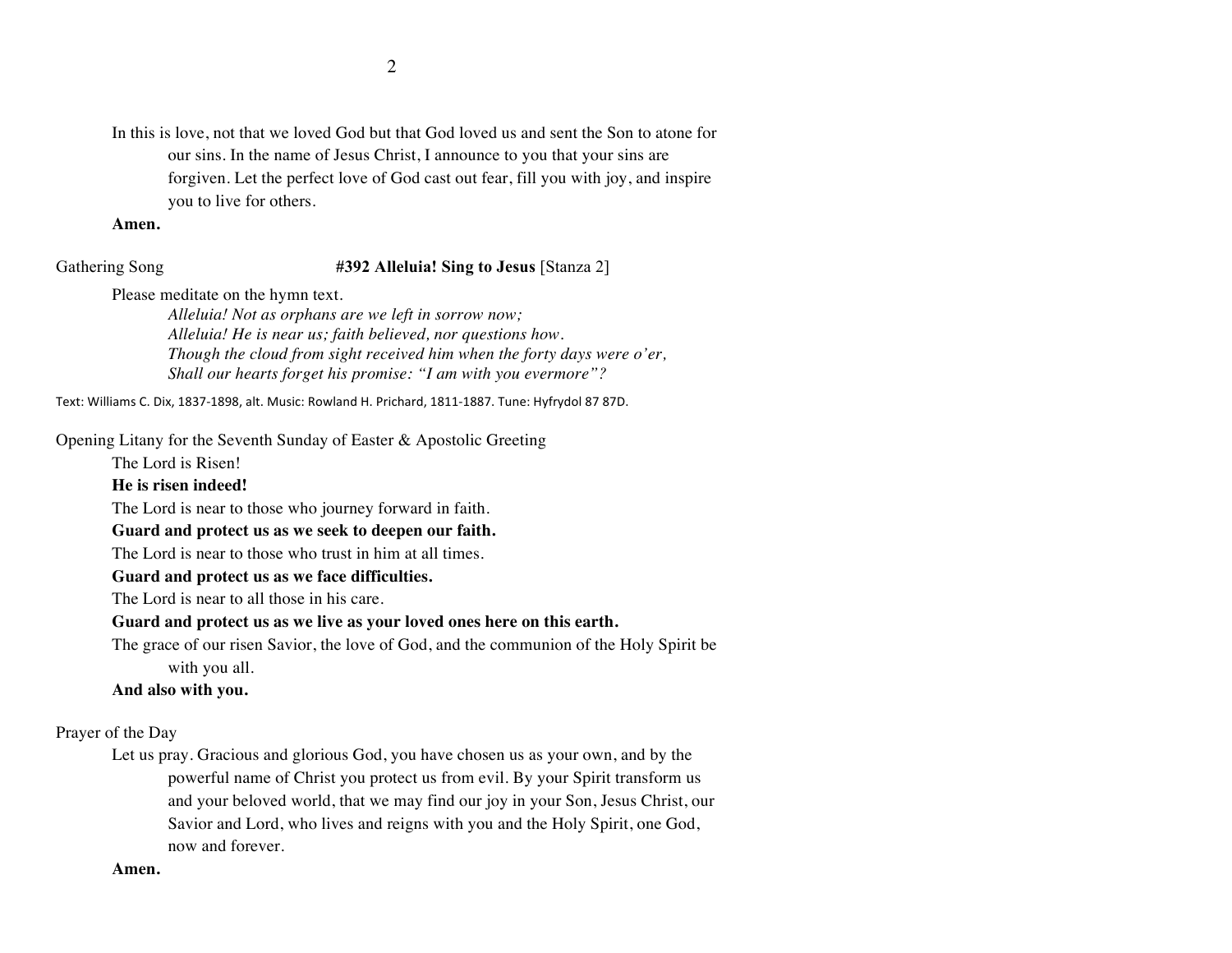In this is love, not that we loved God but that God loved us and sent the Son to atone for our sins. In the name of Jesus Christ, I announce to you that your sins are forgiven. Let the perfect love of God cast out fear, fill you with joy, and inspire you to live for others.

**Amen.**

## Gathering Song **#392 Alleluia! Sing to Jesus** [Stanza 2]

Please meditate on the hymn text.

*Alleluia! Not as orphans are we left in sorrow now; Alleluia! He is near us; faith believed, nor questions how. Though the cloud from sight received him when the forty days were o'er, Shall our hearts forget his promise: "I am with you evermore"?*

Text: Williams C. Dix, 1837-1898, alt. Music: Rowland H. Prichard, 1811-1887. Tune: Hyfrydol 87 87D.

Opening Litany for the Seventh Sunday of Easter & Apostolic Greeting

The Lord is Risen!

### **He is risen indeed!**

The Lord is near to those who journey forward in faith.

# **Guard and protect us as we seek to deepen our faith.**

The Lord is near to those who trust in him at all times.

# **Guard and protect us as we face difficulties.**

The Lord is near to all those in his care.

# **Guard and protect us as we live as your loved ones here on this earth.**

The grace of our risen Savior, the love of God, and the communion of the Holy Spirit be with you all.

# **And also with you.**

Prayer of the Day

Let us pray. Gracious and glorious God, you have chosen us as your own, and by the powerful name of Christ you protect us from evil. By your Spirit transform us and your beloved world, that we may find our joy in your Son, Jesus Christ, our Savior and Lord, who lives and reigns with you and the Holy Spirit, one God, now and forever.

# **Amen.**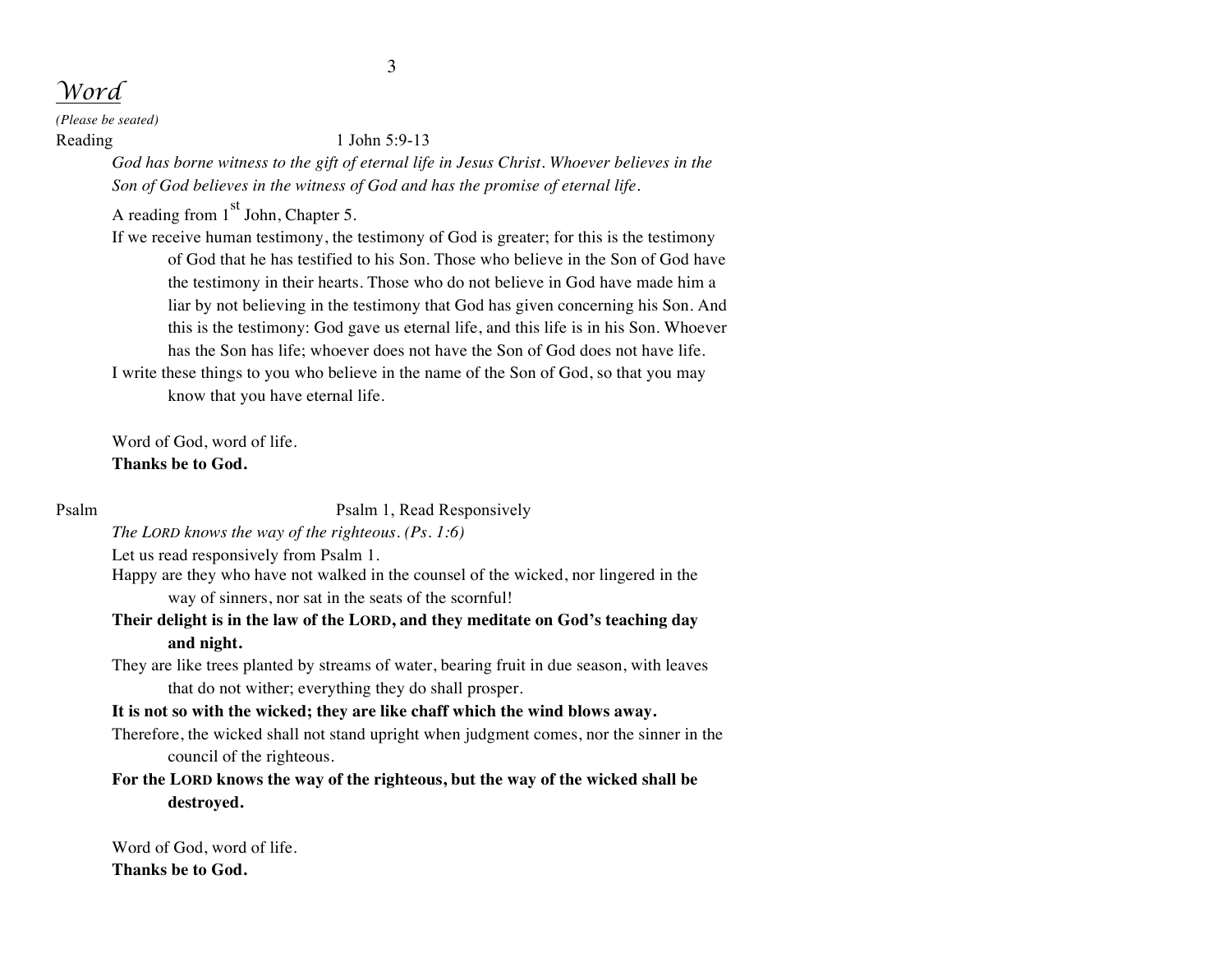# *Word*

*(Please be seated)*

## Reading 1 John 5:9-13

*God has borne witness to the gift of eternal life in Jesus Christ. Whoever believes in the Son of God believes in the witness of God and has the promise of eternal life.*

A reading from  $1<sup>st</sup>$  John, Chapter 5.

If we receive human testimony, the testimony of God is greater; for this is the testimony of God that he has testified to his Son. Those who believe in the Son of God have the testimony in their hearts. Those who do not believe in God have made him a liar by not believing in the testimony that God has given concerning his Son. And this is the testimony: God gave us eternal life, and this life is in his Son. Whoever has the Son has life; whoever does not have the Son of God does not have life. I write these things to you who believe in the name of the Son of God, so that you may

know that you have eternal life.

Word of God, word of life. **Thanks be to God.**

Psalm Psalm 1, Read Responsively

*The LORD knows the way of the righteous. (Ps. 1:6)*

Let us read responsively from Psalm 1.

- Happy are they who have not walked in the counsel of the wicked, nor lingered in the way of sinners, nor sat in the seats of the scornful!
- **Their delight is in the law of the LORD, and they meditate on God's teaching day and night.**
- They are like trees planted by streams of water, bearing fruit in due season, with leaves that do not wither; everything they do shall prosper.

# **It is not so with the wicked; they are like chaff which the wind blows away.**

Therefore, the wicked shall not stand upright when judgment comes, nor the sinner in the council of the righteous.

**For the LORD knows the way of the righteous, but the way of the wicked shall be destroyed.**

Word of God, word of life. **Thanks be to God.**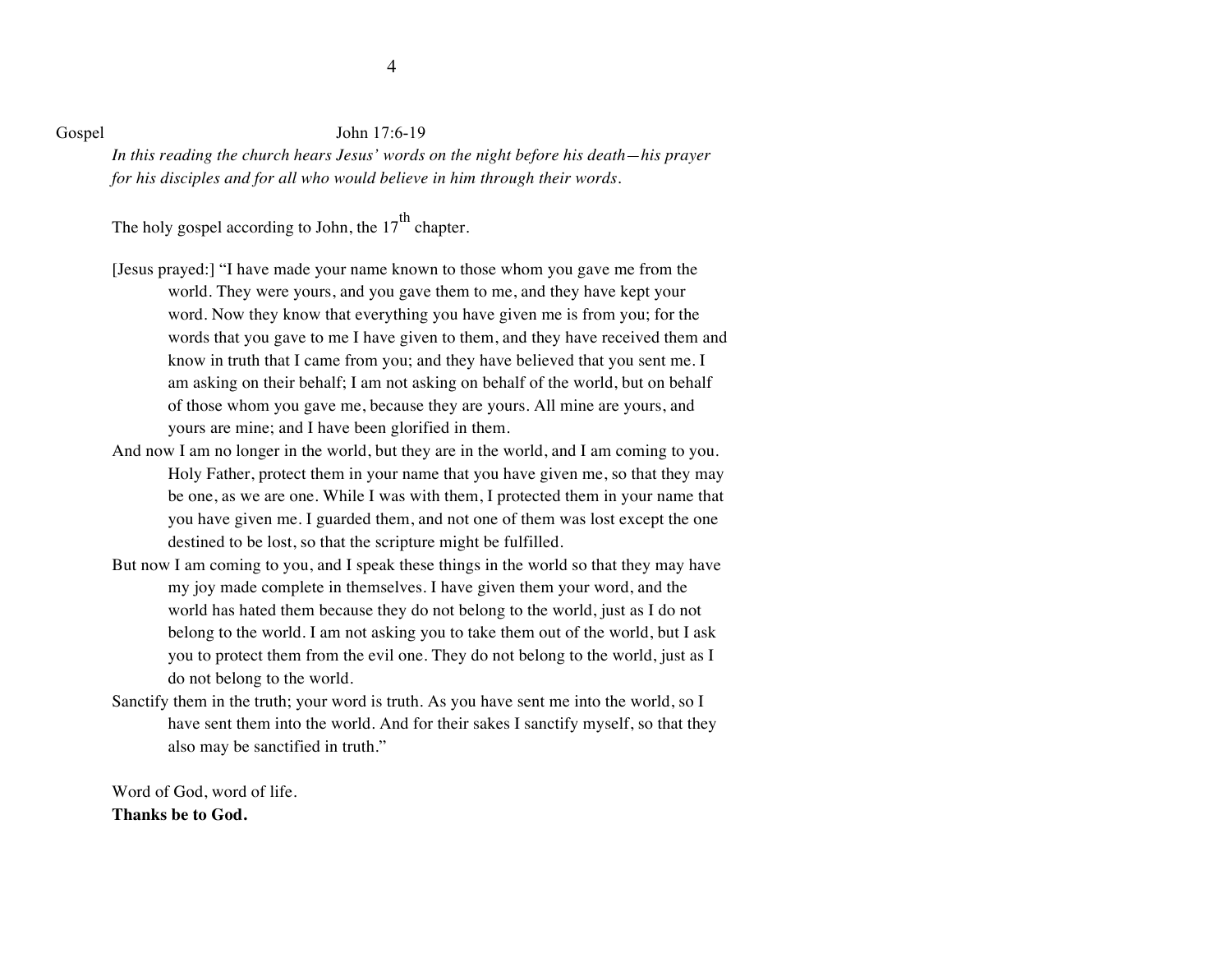### Gospel John 17:6-19

*In this reading the church hears Jesus' words on the night before his death—his prayer for his disciples and for all who would believe in him through their words.*

The holy gospel according to John, the  $17<sup>th</sup>$  chapter.

- [Jesus prayed:] "I have made your name known to those whom you gave me from the world. They were yours, and you gave them to me, and they have kept your word. Now they know that everything you have given me is from you; for the words that you gave to me I have given to them, and they have received them and know in truth that I came from you; and they have believed that you sent me. I am asking on their behalf; I am not asking on behalf of the world, but on behalf of those whom you gave me, because they are yours. All mine are yours, and yours are mine; and I have been glorified in them.
- And now I am no longer in the world, but they are in the world, and I am coming to you. Holy Father, protect them in your name that you have given me, so that they may be one, as we are one. While I was with them, I protected them in your name that you have given me. I guarded them, and not one of them was lost except the one destined to be lost, so that the scripture might be fulfilled.
- But now I am coming to you, and I speak these things in the world so that they may have my joy made complete in themselves. I have given them your word, and the world has hated them because they do not belong to the world, just as I do not belong to the world. I am not asking you to take them out of the world, but I ask you to protect them from the evil one. They do not belong to the world, just as I do not belong to the world.
- Sanctify them in the truth; your word is truth. As you have sent me into the world, so I have sent them into the world. And for their sakes I sanctify myself, so that they also may be sanctified in truth."

Word of God, word of life. **Thanks be to God.**

4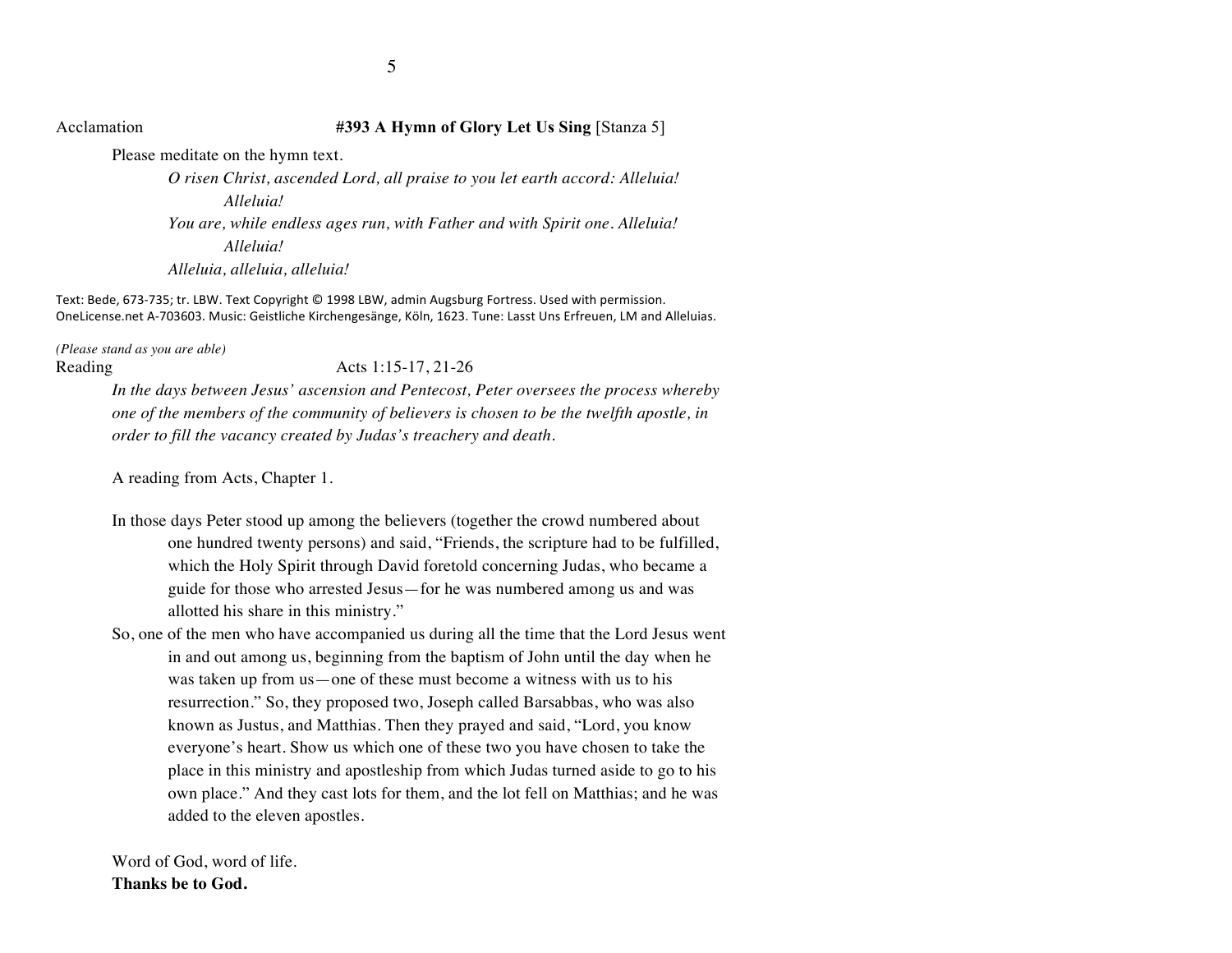## Acclamation **#393 A Hymn of Glory Let Us Sing** [Stanza 5]

Please meditate on the hymn text. *O risen Christ, ascended Lord, all praise to you let earth accord: Alleluia! Alleluia! You are, while endless ages run, with Father and with Spirit one. Alleluia! Alleluia! Alleluia, alleluia, alleluia!*

Text: Bede, 673-735; tr. LBW. Text Copyright © 1998 LBW, admin Augsburg Fortress. Used with permission. OneLicense.net A-703603. Music: Geistliche Kirchengesänge, Köln, 1623. Tune: Lasst Uns Erfreuen, LM and Alleluias.

*(Please stand as you are able)* Reading Acts 1:15-17, 21-26

*In the days between Jesus' ascension and Pentecost, Peter oversees the process whereby one of the members of the community of believers is chosen to be the twelfth apostle, in order to fill the vacancy created by Judas's treachery and death.*

A reading from Acts, Chapter 1.

- In those days Peter stood up among the believers (together the crowd numbered about one hundred twenty persons) and said, "Friends, the scripture had to be fulfilled, which the Holy Spirit through David foretold concerning Judas, who became a guide for those who arrested Jesus—for he was numbered among us and was allotted his share in this ministry."
- So, one of the men who have accompanied us during all the time that the Lord Jesus went in and out among us, beginning from the baptism of John until the day when he was taken up from us—one of these must become a witness with us to his resurrection." So, they proposed two, Joseph called Barsabbas, who was also known as Justus, and Matthias. Then they prayed and said, "Lord, you know everyone's heart. Show us which one of these two you have chosen to take the place in this ministry and apostleship from which Judas turned aside to go to his own place." And they cast lots for them, and the lot fell on Matthias; and he was added to the eleven apostles.

Word of God, word of life. **Thanks be to God.**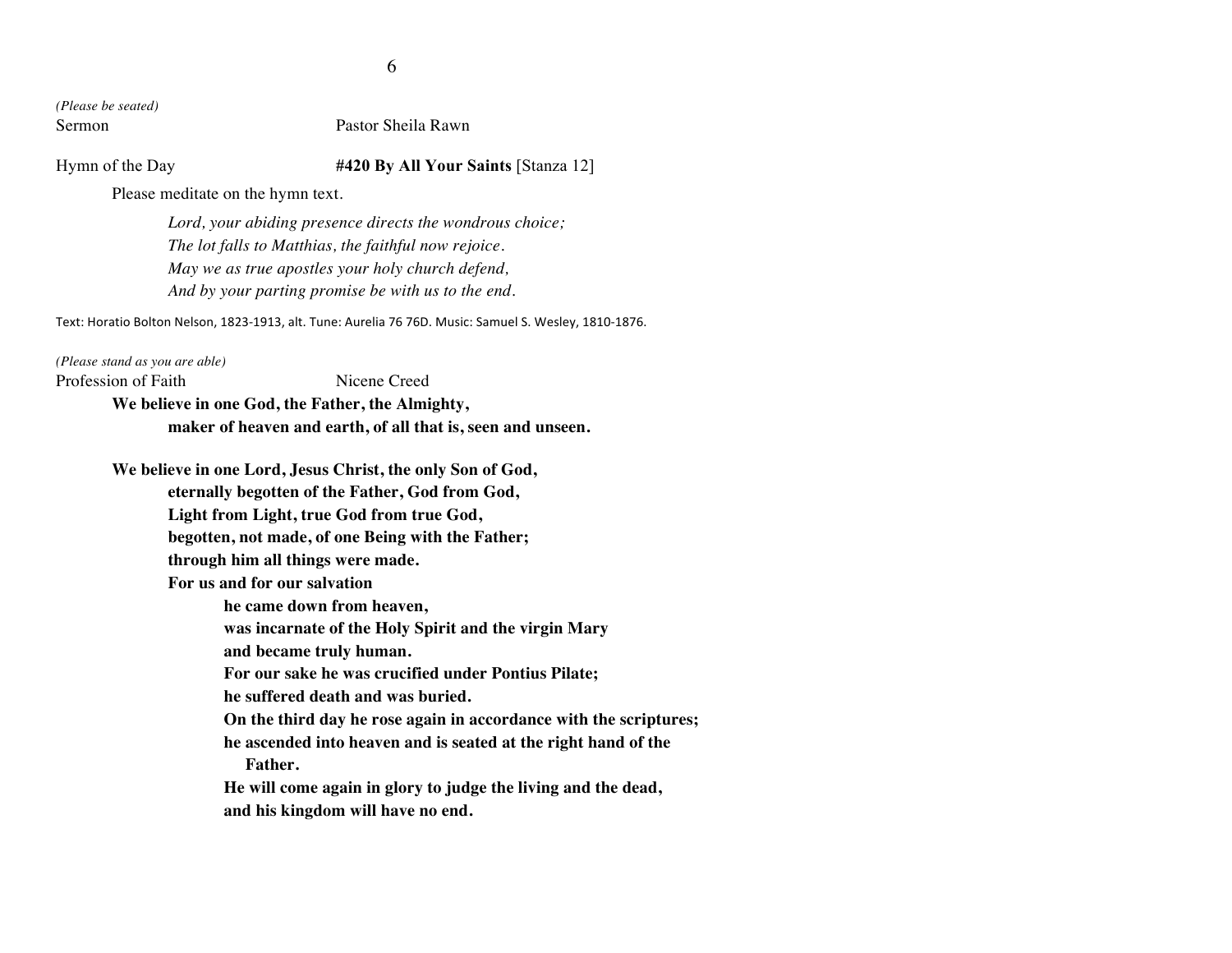*(Please be seated)*

### Sermon Pastor Sheila Rawn

### Hymn of the Day **#420 By All Your Saints** [Stanza 12]

Please meditate on the hymn text.

*Lord, your abiding presence directs the wondrous choice; The lot falls to Matthias, the faithful now rejoice. May we as true apostles your holy church defend, And by your parting promise be with us to the end.*

Text: Horatio Bolton Nelson, 1823-1913, alt. Tune: Aurelia 76 76D. Music: Samuel S. Wesley, 1810-1876.

*(Please stand as you are able)* Profession of Faith Nicene Creed **We believe in one God, the Father, the Almighty, maker of heaven and earth, of all that is, seen and unseen.**

> **We believe in one Lord, Jesus Christ, the only Son of God, eternally begotten of the Father, God from God, Light from Light, true God from true God, begotten, not made, of one Being with the Father; through him all things were made. For us and for our salvation he came down from heaven, was incarnate of the Holy Spirit and the virgin Mary and became truly human. For our sake he was crucified under Pontius Pilate; he suffered death and was buried. On the third day he rose again in accordance with the scriptures; he ascended into heaven and is seated at the right hand of the Father. He will come again in glory to judge the living and the dead, and his kingdom will have no end.**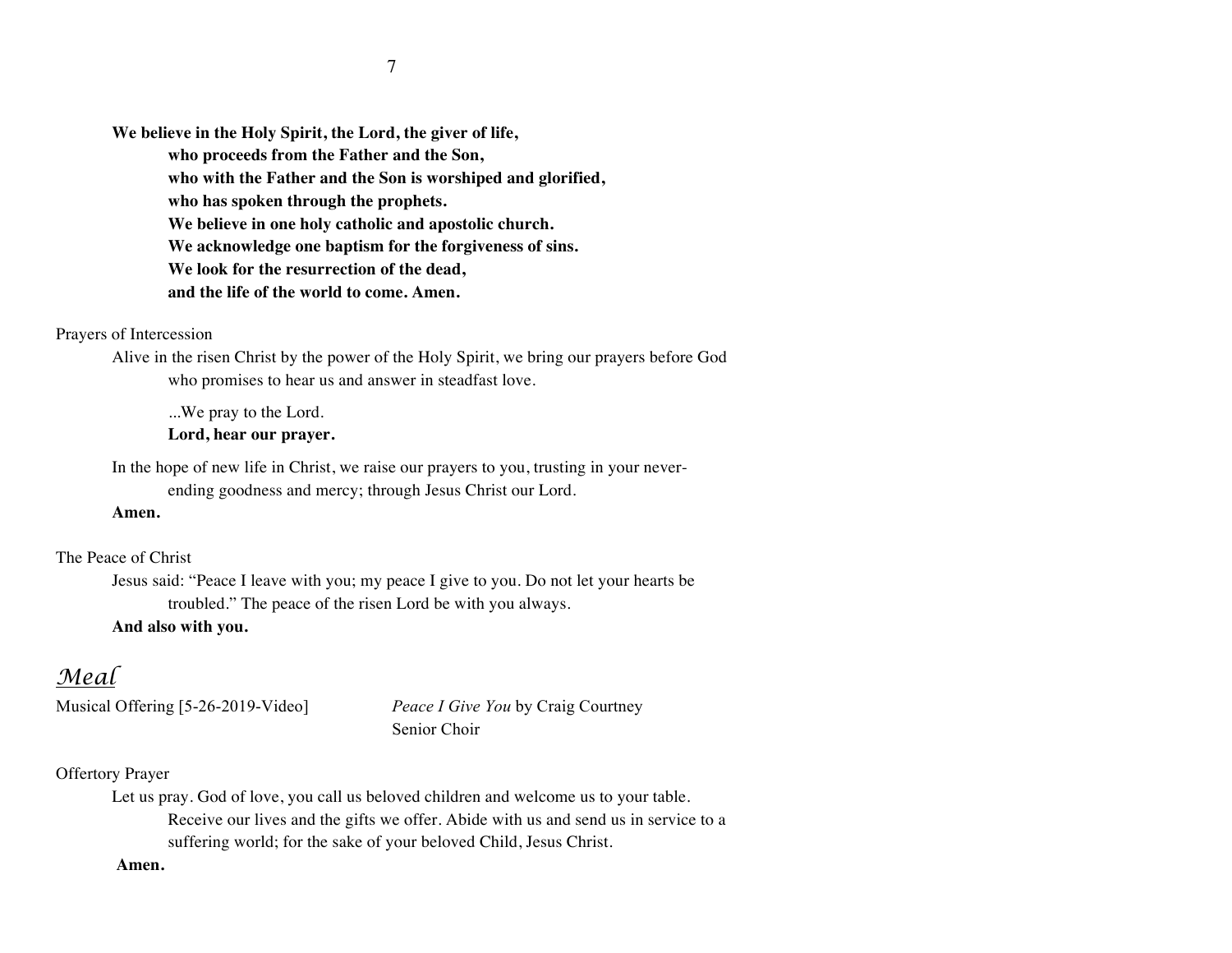**We believe in the Holy Spirit, the Lord, the giver of life, who proceeds from the Father and the Son, who with the Father and the Son is worshiped and glorified, who has spoken through the prophets. We believe in one holy catholic and apostolic church. We acknowledge one baptism for the forgiveness of sins. We look for the resurrection of the dead, and the life of the world to come. Amen.**

### Prayers of Intercession

Alive in the risen Christ by the power of the Holy Spirit, we bring our prayers before God who promises to hear us and answer in steadfast love.

...We pray to the Lord.

**Lord, hear our prayer.**

In the hope of new life in Christ, we raise our prayers to you, trusting in your neverending goodness and mercy; through Jesus Christ our Lord.

### **Amen.**

The Peace of Christ

Jesus said: "Peace I leave with you; my peace I give to you. Do not let your hearts be troubled." The peace of the risen Lord be with you always.

### **And also with you.**

# *Meal*

Musical Offering [5-26-2019-Video] *Peace I Give You* by Craig Courtney Senior Choir

# Offertory Prayer

Let us pray. God of love, you call us beloved children and welcome us to your table. Receive our lives and the gifts we offer. Abide with us and send us in service to a suffering world; for the sake of your beloved Child, Jesus Christ.

**Amen.**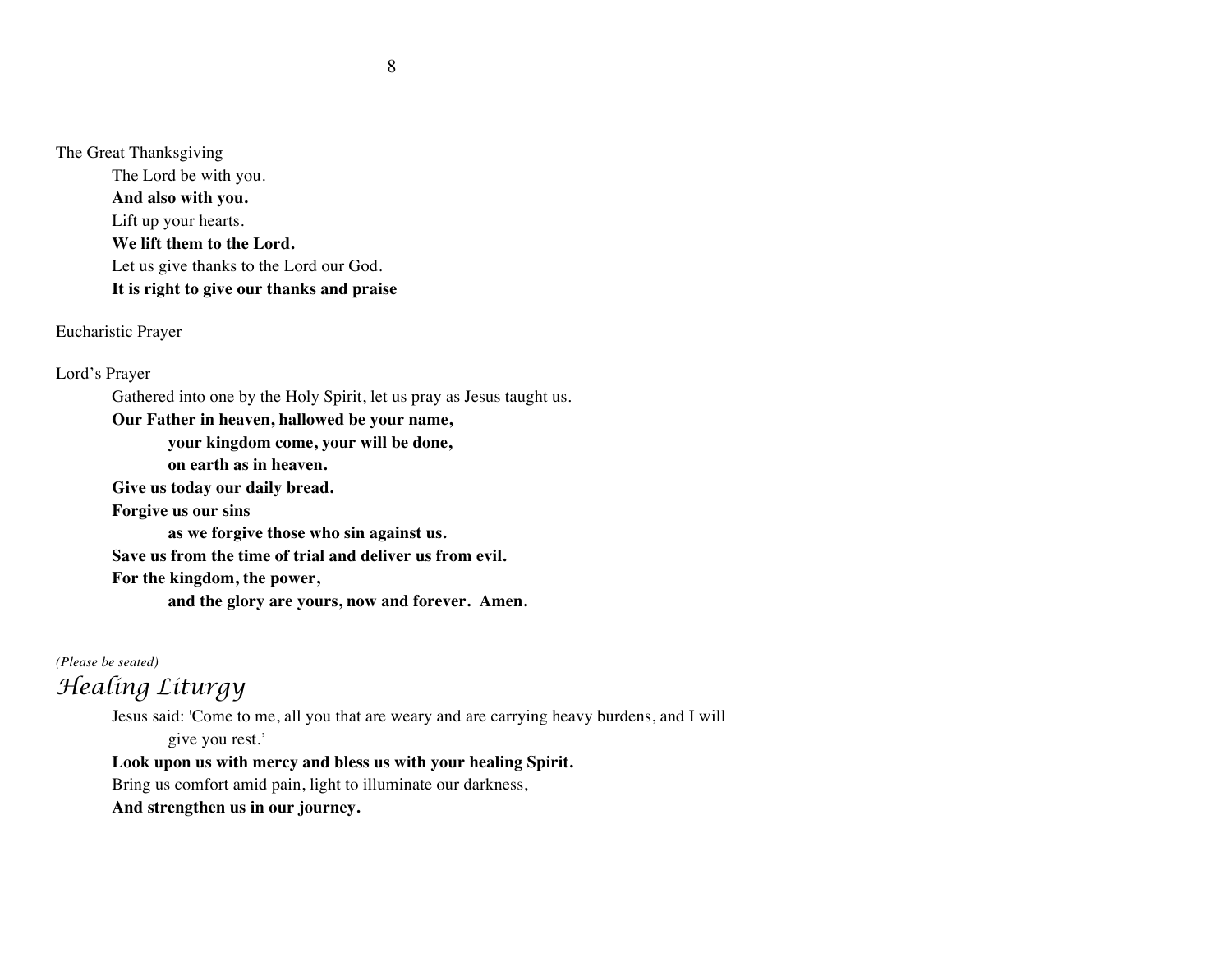The Great Thanksgiving

The Lord be with you. **And also with you.** Lift up your hearts. **We lift them to the Lord.** Let us give thanks to the Lord our God. **It is right to give our thanks and praise**

Eucharistic Prayer

Lord's Prayer

Gathered into one by the Holy Spirit, let us pray as Jesus taught us.

**Our Father in heaven, hallowed be your name,** 

**your kingdom come, your will be done,** 

**on earth as in heaven.**

**Give us today our daily bread.** 

**Forgive us our sins** 

**as we forgive those who sin against us.** 

**Save us from the time of trial and deliver us from evil.**

**For the kingdom, the power,** 

**and the glory are yours, now and forever. Amen.**

*(Please be seated)*

# *Healing Liturgy*

Jesus said: 'Come to me, all you that are weary and are carrying heavy burdens, and I will give you rest.'

### **Look upon us with mercy and bless us with your healing Spirit.**

Bring us comfort amid pain, light to illuminate our darkness,

**And strengthen us in our journey.**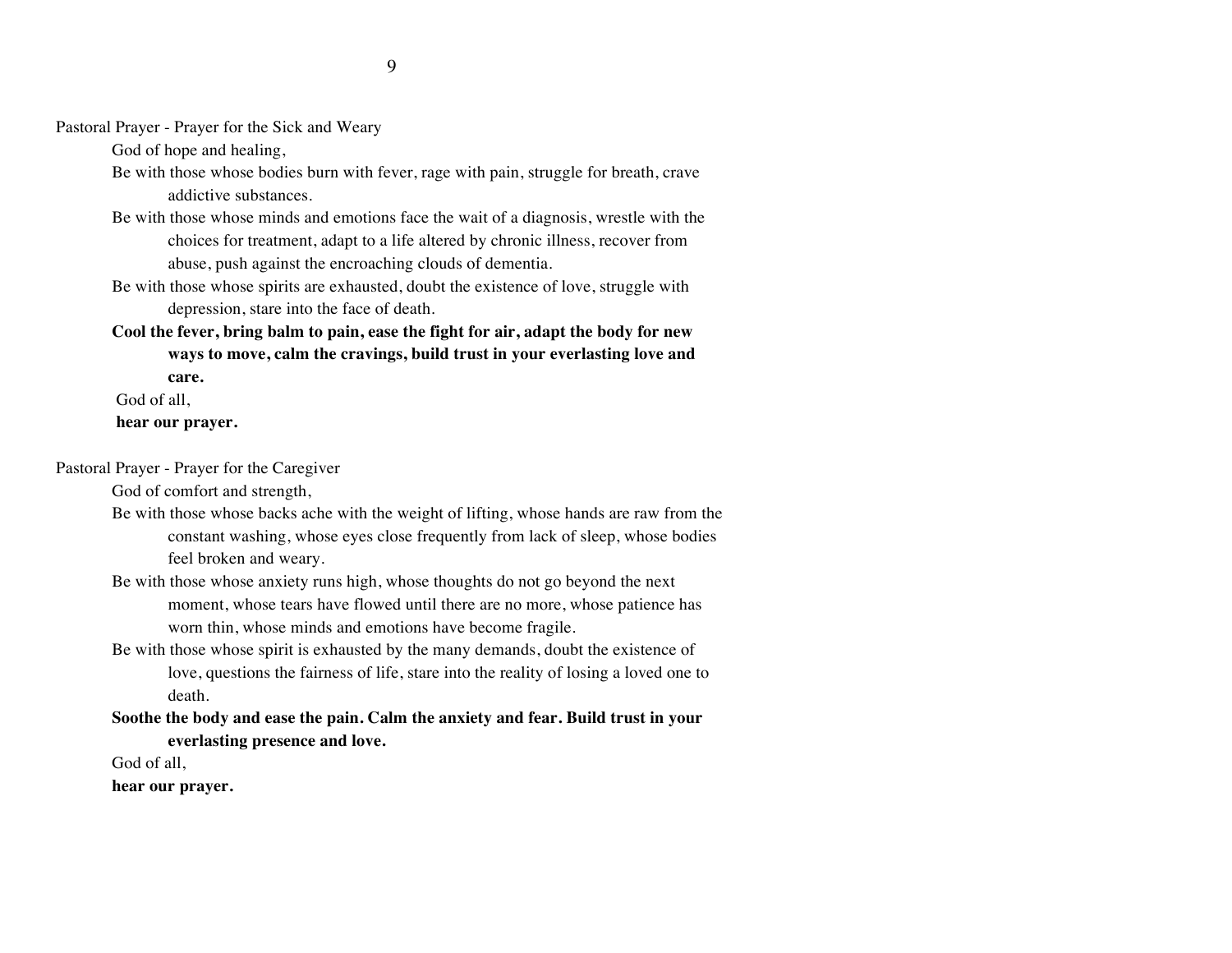Pastoral Prayer - Prayer for the Sick and Weary

God of hope and healing,

- Be with those whose bodies burn with fever, rage with pain, struggle for breath, crave addictive substances.
- Be with those whose minds and emotions face the wait of a diagnosis, wrestle with the choices for treatment, adapt to a life altered by chronic illness, recover from abuse, push against the encroaching clouds of dementia.
- Be with those whose spirits are exhausted, doubt the existence of love, struggle with depression, stare into the face of death.
- **Cool the fever, bring balm to pain, ease the fight for air, adapt the body for new ways to move, calm the cravings, build trust in your everlasting love and care.**

God of all,

### **hear our prayer.**

Pastoral Prayer - Prayer for the Caregiver

God of comfort and strength,

- Be with those whose backs ache with the weight of lifting, whose hands are raw from the constant washing, whose eyes close frequently from lack of sleep, whose bodies feel broken and weary.
- Be with those whose anxiety runs high, whose thoughts do not go beyond the next moment, whose tears have flowed until there are no more, whose patience has worn thin, whose minds and emotions have become fragile.
- Be with those whose spirit is exhausted by the many demands, doubt the existence of love, questions the fairness of life, stare into the reality of losing a loved one to death.
- **Soothe the body and ease the pain. Calm the anxiety and fear. Build trust in your everlasting presence and love.**

God of all,

**hear our prayer.**